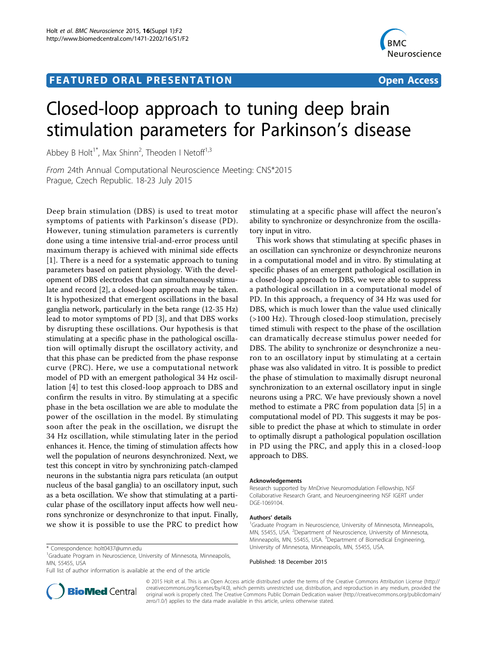## **FEATURED ORAL PRESENTATION CONSUMING THE SERVICES**



# Closed-loop approach to tuning deep brain stimulation parameters for Parkinson's disease

Abbey B Holt<sup>1\*</sup>, Max Shinn<sup>2</sup>, Theoden I Netoff<sup>1,3</sup>

From 24th Annual Computational Neuroscience Meeting: CNS\*2015 Prague, Czech Republic. 18-23 July 2015

Deep brain stimulation (DBS) is used to treat motor symptoms of patients with Parkinson's disease (PD). However, tuning stimulation parameters is currently done using a time intensive trial-and-error process until maximum therapy is achieved with minimal side effects [[1](#page-1-0)]. There is a need for a systematic approach to tuning parameters based on patient physiology. With the development of DBS electrodes that can simultaneously stimulate and record [\[2\]](#page-1-0), a closed-loop approach may be taken. It is hypothesized that emergent oscillations in the basal ganglia network, particularly in the beta range (12-35 Hz) lead to motor symptoms of PD [[3](#page-1-0)], and that DBS works by disrupting these oscillations. Our hypothesis is that stimulating at a specific phase in the pathological oscillation will optimally disrupt the oscillatory activity, and that this phase can be predicted from the phase response curve (PRC). Here, we use a computational network model of PD with an emergent pathological 34 Hz oscillation [\[4\]](#page-1-0) to test this closed-loop approach to DBS and confirm the results in vitro. By stimulating at a specific phase in the beta oscillation we are able to modulate the power of the oscillation in the model. By stimulating soon after the peak in the oscillation, we disrupt the 34 Hz oscillation, while stimulating later in the period enhances it. Hence, the timing of stimulation affects how well the population of neurons desynchronized. Next, we test this concept in vitro by synchronizing patch-clamped neurons in the substantia nigra pars reticulata (an output nucleus of the basal ganglia) to an oscillatory input, such as a beta oscillation. We show that stimulating at a particular phase of the oscillatory input affects how well neurons synchronize or desynchronize to that input. Finally, we show it is possible to use the PRC to predict how

Full list of author information is available at the end of the article

stimulating at a specific phase will affect the neuron's ability to synchronize or desynchronize from the oscillatory input in vitro.

This work shows that stimulating at specific phases in an oscillation can synchronize or desynchronize neurons in a computational model and in vitro. By stimulating at specific phases of an emergent pathological oscillation in a closed-loop approach to DBS, we were able to suppress a pathological oscillation in a computational model of PD. In this approach, a frequency of 34 Hz was used for DBS, which is much lower than the value used clinically (>100 Hz). Through closed-loop stimulation, precisely timed stimuli with respect to the phase of the oscillation can dramatically decrease stimulus power needed for DBS. The ability to synchronize or desynchronize a neuron to an oscillatory input by stimulating at a certain phase was also validated in vitro. It is possible to predict the phase of stimulation to maximally disrupt neuronal synchronization to an external oscillatory input in single neurons using a PRC. We have previously shown a novel method to estimate a PRC from population data [[5\]](#page-1-0) in a computational model of PD. This suggests it may be possible to predict the phase at which to stimulate in order to optimally disrupt a pathological population oscillation in PD using the PRC, and apply this in a closed-loop approach to DBS.

#### Acknowledgements

Research supported by MnDrive Neuromodulation Fellowship, NSF Collaborative Research Grant, and Neuroengineering NSF IGERT under DGE-1069104.

#### Authors' details <sup>1</sup>

<sup>1</sup>Graduate Program in Neuroscience, University of Minnesota, Minneapolis, MN, 55455, USA. <sup>2</sup>Department of Neuroscience, University of Minnesota Minneapolis, MN, 55455, USA. <sup>3</sup>Department of Biomedical Engineering, University of Minnesota, Minneapolis, MN, 55455, USA.

#### Published: 18 December 2015



© 2015 Holt et al. This is an Open Access article distributed under the terms of the Creative Commons Attribution License ([http://](http://creativecommons.org/licenses/by/4.0) [creativecommons.org/licenses/by/4.0](http://creativecommons.org/licenses/by/4.0)), which permits unrestricted use, distribution, and reproduction in any medium, provided the original work is properly cited. The Creative Commons Public Domain Dedication waiver ([http://creativecommons.org/publicdomain/](http://creativecommons.org/publicdomain/zero/1.0/) [zero/1.0/](http://creativecommons.org/publicdomain/zero/1.0/)) applies to the data made available in this article, unless otherwise stated.

<sup>\*</sup> Correspondence: [holt0437@umn.edu](mailto:holt0437@umn.edu)

<sup>&</sup>lt;sup>1</sup>Graduate Program in Neuroscience, University of Minnesota, Minneapolis, MN, 55455, USA